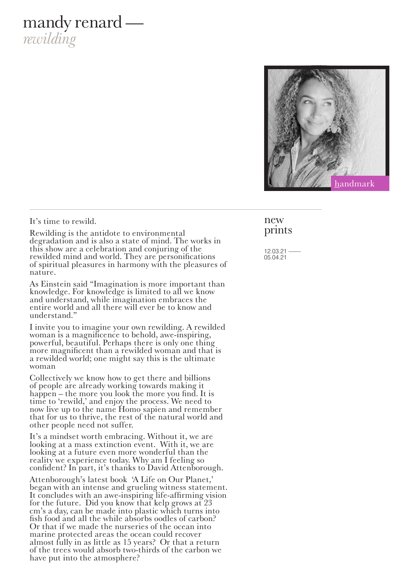## mandy renard *rewilding*



#### It's time to rewild.

Rewilding is the antidote to environmental degradation and is also a state of mind. The works in this show are a celebration and conjuring of the rewilded mind and world. They are personifications of spiritual pleasures in harmony with the pleasures of nature.

As Einstein said "Imagination is more important than knowledge. For knowledge is limited to all we know and understand, while imagination embraces the entire world and all there will ever be to know and understand."

I invite you to imagine your own rewilding. A rewilded woman is a magnificence to behold, awe-inspiring, powerful, beautiful. Perhaps there is only one thing more magnificent than a rewilded woman and that is a rewilded world; one might say this is the ultimate woman

Collectively we know how to get there and billions of people are already working towards making it happen – the more you look the more you find. It is time to 'rewild,' and enjoy the process. We need to now live up to the name Homo sapien and remember that for us to thrive, the rest of the natural world and other people need not suffer.

It's a mindset worth embracing. Without it, we are looking at a mass extinction event. With it, we are looking at a future even more wonderful than the reality we experience today. Why am I feeling so confident? In part, it's thanks to David Attenborough.

Attenborough's latest book 'A Life on Our Planet,' began with an intense and grueling witness statement. It concludes with an awe-inspiring life-affirming vision for the future. Did you know that kelp grows at  $23$ cm's a day, can be made into plastic which turns into fish food and all the while absorbs oodles of carbon? Or that if we made the nurseries of the ocean into marine protected areas the ocean could recover almost fully in as little as 15 years? Or that a return of the trees would absorb two-thirds of the carbon we have put into the atmosphere?

#### new prints

 $12.03.21$ 05.04.21